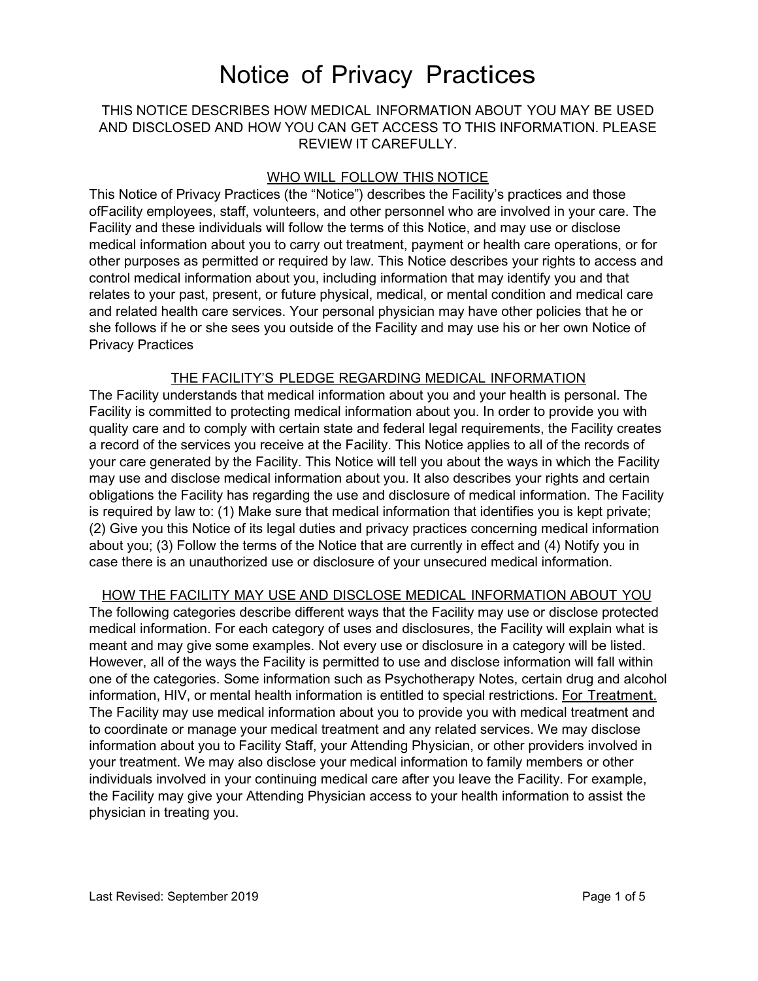### THIS NOTICE DESCRIBES HOW MEDICAL INFORMATION ABOUT YOU MAY BE USED AND DISCLOSED AND HOW YOU CAN GET ACCESS TO THIS INFORMATION. PLEASE REVIEW IT CAREFULLY.

### WHO WILL FOLLOW THIS NOTICE

This Notice of Privacy Practices (the "Notice") describes the Facility's practices and those ofFacility employees, staff, volunteers, and other personnel who are involved in your care. The Facility and these individuals will follow the terms of this Notice, and may use or disclose medical information about you to carry out treatment, payment or health care operations, or for other purposes as permitted or required by law. This Notice describes your rights to access and control medical information about you, including information that may identify you and that relates to your past, present, or future physical, medical, or mental condition and medical care and related health care services. Your personal physician may have other policies that he or she follows if he or she sees you outside of the Facility and may use his or her own Notice of Privacy Practices

### THE FACILITY'S PLEDGE REGARDING MEDICAL INFORMATION

The Facility understands that medical information about you and your health is personal. The Facility is committed to protecting medical information about you. In order to provide you with quality care and to comply with certain state and federal legal requirements, the Facility creates a record of the services you receive at the Facility. This Notice applies to all of the records of your care generated by the Facility. This Notice will tell you about the ways in which the Facility may use and disclose medical information about you. It also describes your rights and certain obligations the Facility has regarding the use and disclosure of medical information. The Facility is required by law to: (1) Make sure that medical information that identifies you is kept private; (2) Give you this Notice of its legal duties and privacy practices concerning medical information about you; (3) Follow the terms of the Notice that are currently in effect and (4) Notify you in case there is an unauthorized use or disclosure of your unsecured medical information.

HOW THE FACILITY MAY USE AND DISCLOSE MEDICAL INFORMATION ABOUT YOU The following categories describe different ways that the Facility may use or disclose protected medical information. For each category of uses and disclosures, the Facility will explain what is meant and may give some examples. Not every use or disclosure in a category will be listed. However, all of the ways the Facility is permitted to use and disclose information will fall within one of the categories. Some information such as Psychotherapy Notes, certain drug and alcohol information, HIV, or mental health information is entitled to special restrictions. For Treatment. The Facility may use medical information about you to provide you with medical treatment and to coordinate or manage your medical treatment and any related services. We may disclose information about you to Facility Staff, your Attending Physician, or other providers involved in your treatment. We may also disclose your medical information to family members or other individuals involved in your continuing medical care after you leave the Facility. For example, the Facility may give your Attending Physician access to your health information to assist the physician in treating you.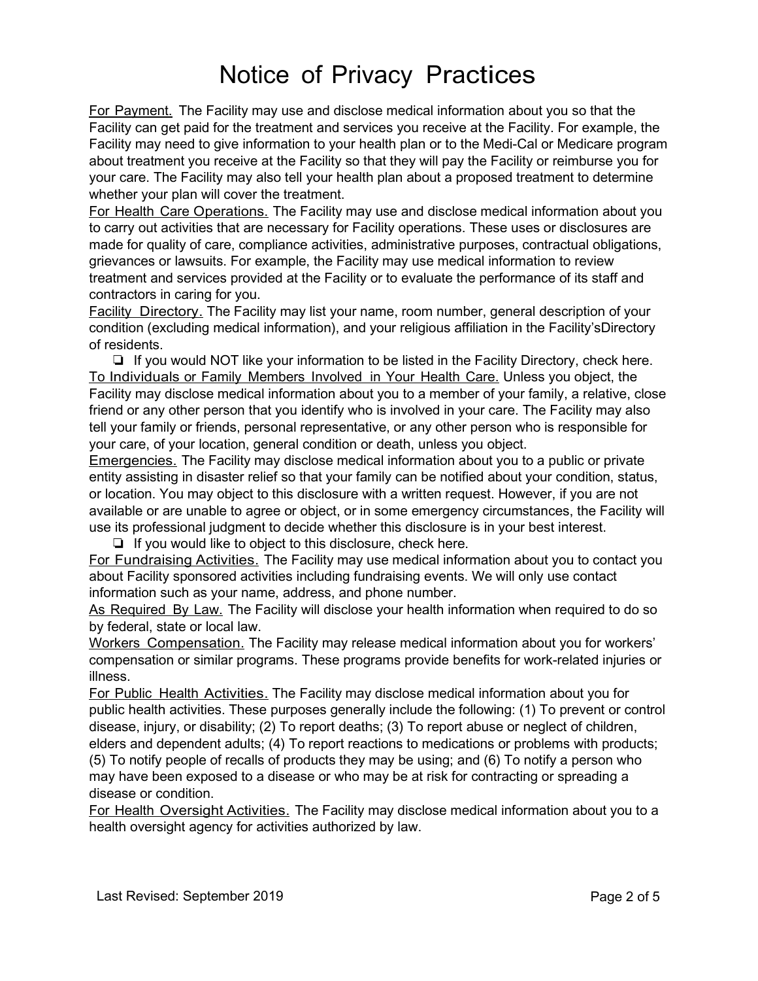For Payment. The Facility may use and disclose medical information about you so that the Facility can get paid for the treatment and services you receive at the Facility. For example, the Facility may need to give information to your health plan or to the Medi-Cal or Medicare program about treatment you receive at the Facility so that they will pay the Facility or reimburse you for your care. The Facility may also tell your health plan about a proposed treatment to determine whether your plan will cover the treatment.

For Health Care Operations. The Facility may use and disclose medical information about you to carry out activities that are necessary for Facility operations. These uses or disclosures are made for quality of care, compliance activities, administrative purposes, contractual obligations, grievances or lawsuits. For example, the Facility may use medical information to review treatment and services provided at the Facility or to evaluate the performance of its staff and contractors in caring for you.

Facility Directory. The Facility may list your name, room number, general description of your condition (excluding medical information), and your religious affiliation in the Facility'sDirectory of residents.

❏ If you would NOT like your information to be listed in the Facility Directory, check here. To Individuals or Family Members Involved in Your Health Care. Unless you object, the Facility may disclose medical information about you to a member of your family, a relative, close friend or any other person that you identify who is involved in your care. The Facility may also tell your family or friends, personal representative, or any other person who is responsible for your care, of your location, general condition or death, unless you object.

Emergencies. The Facility may disclose medical information about you to a public or private entity assisting in disaster relief so that your family can be notified about your condition, status, or location. You may object to this disclosure with a written request. However, if you are not available or are unable to agree or object, or in some emergency circumstances, the Facility will use its professional judgment to decide whether this disclosure is in your best interest.

❏ If you would like to object to this disclosure, check here.

For Fundraising Activities. The Facility may use medical information about you to contact you about Facility sponsored activities including fundraising events. We will only use contact information such as your name, address, and phone number.

As Required By Law. The Facility will disclose your health information when required to do so by federal, state or local law.

Workers Compensation. The Facility may release medical information about you for workers' compensation or similar programs. These programs provide benefits for work-related injuries or illness.

For Public Health Activities. The Facility may disclose medical information about you for public health activities. These purposes generally include the following: (1) To prevent or control disease, injury, or disability; (2) To report deaths; (3) To report abuse or neglect of children, elders and dependent adults; (4) To report reactions to medications or problems with products; (5) To notify people of recalls of products they may be using; and (6) To notify a person who may have been exposed to a disease or who may be at risk for contracting or spreading a

disease or condition.

For Health Oversight Activities. The Facility may disclose medical information about you to a health oversight agency for activities authorized by law.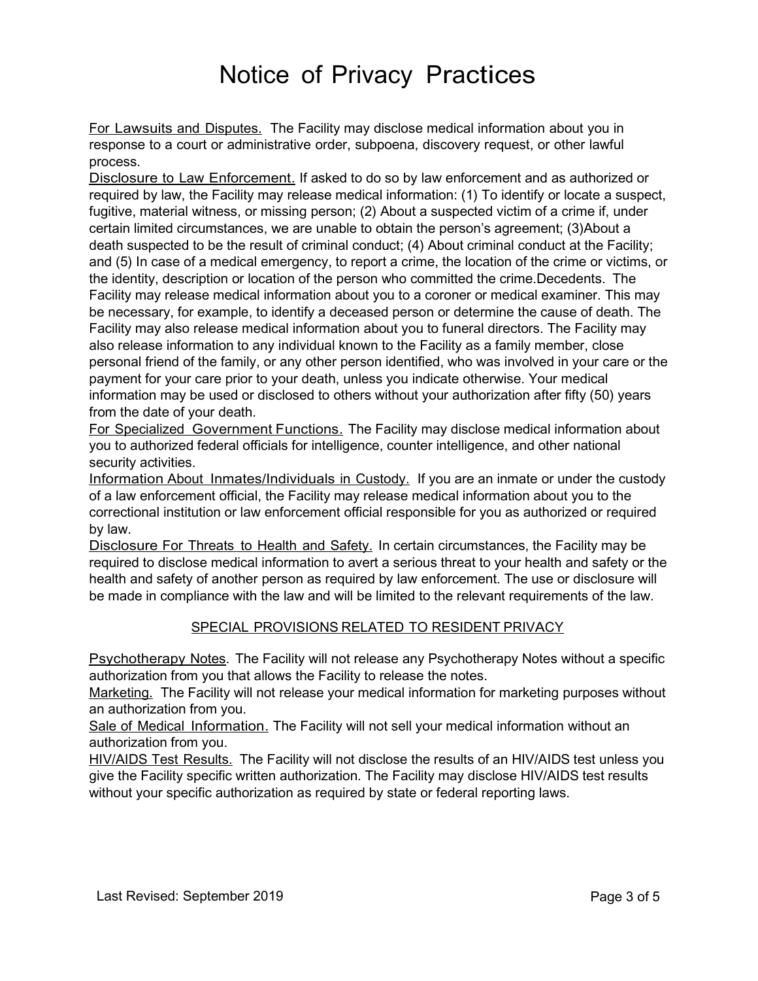For Lawsuits and Disputes. The Facility may disclose medical information about you in response to a court or administrative order, subpoena, discovery request, or other lawful process.

Disclosure to Law Enforcement. If asked to do so by law enforcement and as authorized or required by law, the Facility may release medical information: (1) To identify or locate a suspect, fugitive, material witness, or missing person; (2) About a suspected victim of a crime if, under certain limited circumstances, we are unable to obtain the person's agreement; (3)About a death suspected to be the result of criminal conduct; (4) About criminal conduct at the Facility; and (5) In case of a medical emergency, to report a crime, the location of the crime or victims, or the identity, description or location of the person who committed the crime.Decedents. The Facility may release medical information about you to a coroner or medical examiner. This may be necessary, for example, to identify a deceased person or determine the cause of death. The Facility may also release medical information about you to funeral directors. The Facility may also release information to any individual known to the Facility as a family member, close personal friend of the family, or any other person identified, who was involved in your care or the payment for your care prior to your death, unless you indicate otherwise. Your medical information may be used or disclosed to others without your authorization after fifty (50) years from the date of your death.

For Specialized Government Functions. The Facility may disclose medical information about you to authorized federal officials for intelligence, counter intelligence, and other national security activities.

Information About Inmates/Individuals in Custody. If you are an inmate or under the custody of a law enforcement official, the Facility may release medical information about you to the correctional institution or law enforcement official responsible for you as authorized or required by law.

Disclosure For Threats to Health and Safety. In certain circumstances, the Facility may be required to disclose medical information to avert a serious threat to your health and safety or the health and safety of another person as required by law enforcement. The use or disclosure will be made in compliance with the law and will be limited to the relevant requirements of the law.

### SPECIAL PROVISIONS RELATED TO RESIDENT PRIVACY

Psychotherapy Notes. The Facility will not release any Psychotherapy Notes without a specific authorization from you that allows the Facility to release the notes.

Marketing. The Facility will not release your medical information for marketing purposes without an authorization from you.

Sale of Medical Information. The Facility will not sell your medical information without an authorization from you.

HIV/AIDS Test Results. The Facility will not disclose the results of an HIV/AIDS test unless you give the Facility specific written authorization. The Facility may disclose HIV/AIDS test results without your specific authorization as required by state or federal reporting laws.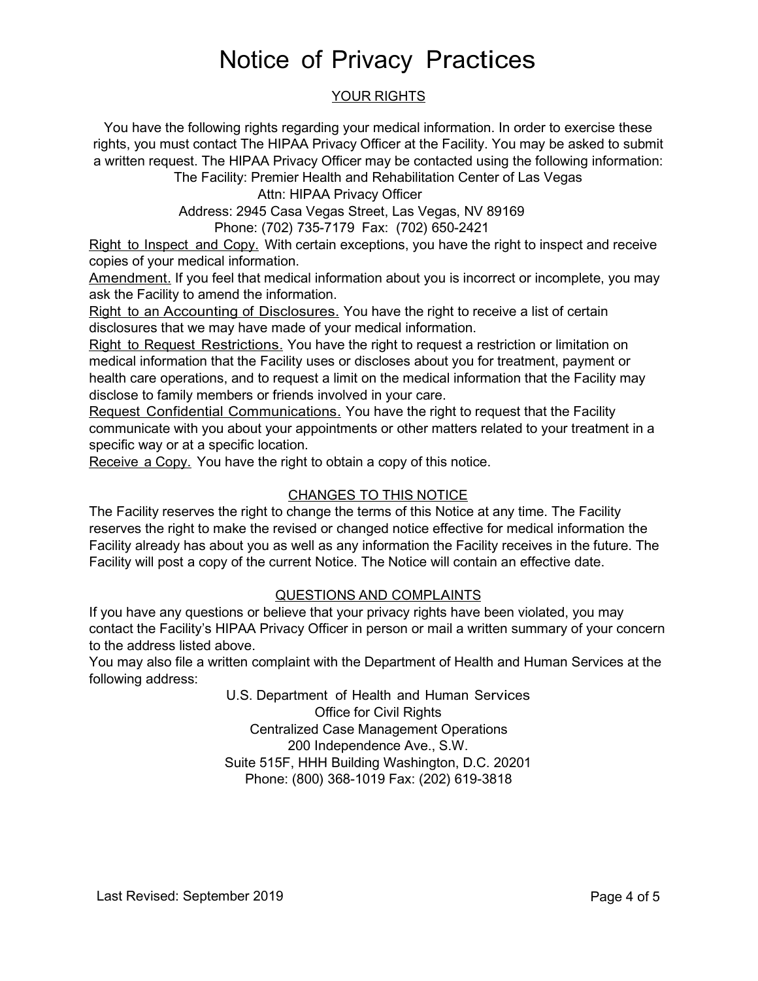### YOUR RIGHTS

You have the following rights regarding your medical information. In order to exercise these rights, you must contact The HIPAA Privacy Officer at the Facility. You may be asked to submit a written request. The HIPAA Privacy Officer may be contacted using the following information: The Facility: Premier Health and Rehabilitation Center of Las Vegas

Attn: HIPAA Privacy Officer

Address: 2945 Casa Vegas Street, Las Vegas, NV 89169

Phone: (702) 735-7179 Fax: (702) 650-2421

Right to Inspect and Copy. With certain exceptions, you have the right to inspect and receive copies of your medical information.

Amendment. If you feel that medical information about you is incorrect or incomplete, you may ask the Facility to amend the information.

Right to an Accounting of Disclosures. You have the right to receive a list of certain disclosures that we may have made of your medical information.

Right to Request Restrictions. You have the right to request a restriction or limitation on medical information that the Facility uses or discloses about you for treatment, payment or health care operations, and to request a limit on the medical information that the Facility may disclose to family members or friends involved in your care.

Request Confidential Communications. You have the right to request that the Facility communicate with you about your appointments or other matters related to your treatment in a specific way or at a specific location.

Receive a Copy. You have the right to obtain a copy of this notice.

### CHANGES TO THIS NOTICE

The Facility reserves the right to change the terms of this Notice at any time. The Facility reserves the right to make the revised or changed notice effective for medical information the Facility already has about you as well as any information the Facility receives in the future. The Facility will post a copy of the current Notice. The Notice will contain an effective date.

### QUESTIONS AND COMPLAINTS

If you have any questions or believe that your privacy rights have been violated, you may contact the Facility's HIPAA Privacy Officer in person or mail a written summary of your concern to the address listed above.

You may also file a written complaint with the Department of Health and Human Services at the following address:

> U.S. Department of Health and Human Services Office for Civil Rights Centralized Case Management Operations 200 Independence Ave., S.W. Suite 515F, HHH Building Washington, D.C. 20201 Phone: (800) 368-1019 Fax: (202) 619-3818